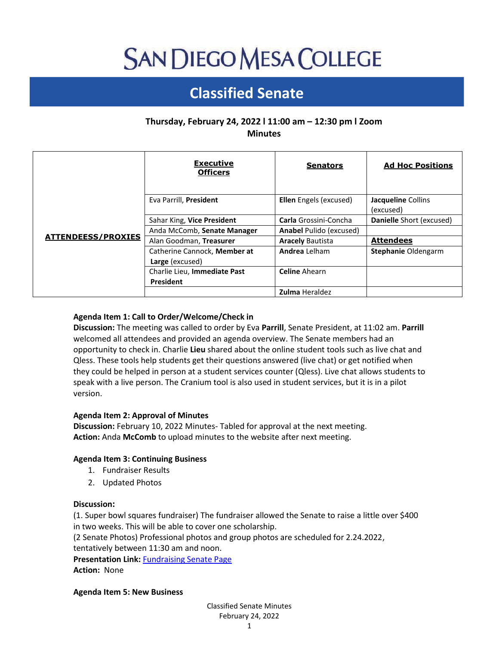# **SAN DIEGO MESA COLLEGE**

## **Classified Senate**

### **Thursday, February 24, 2022 l 11:00 am – 12:30 pm l Zoom Minutes**

|                           | <b>Executive</b><br><b>Officers</b>             | <b>Senators</b>                | <b>Ad Hoc Positions</b>         |
|---------------------------|-------------------------------------------------|--------------------------------|---------------------------------|
| <b>ATTENDEESS/PROXIES</b> | Eva Parrill, President                          | <b>Ellen</b> Engels (excused)  | Jacqueline Collins<br>(excused) |
|                           | Sahar King, Vice President                      | Carla Grossini-Concha          | Danielle Short (excused)        |
|                           | Anda McComb, Senate Manager                     | <b>Anabel Pulido (excused)</b> |                                 |
|                           | Alan Goodman, Treasurer                         | <b>Aracely Bautista</b>        | <b>Attendees</b>                |
|                           | Catherine Cannock, Member at<br>Large (excused) | Andrea Lelham                  | <b>Stephanie Oldengarm</b>      |
|                           | Charlie Lieu, Immediate Past<br>President       | <b>Celine</b> Ahearn           |                                 |
|                           |                                                 | <b>Zulma Heraldez</b>          |                                 |

#### **Agenda Item 1: Call to Order/Welcome/Check in**

**Discussion:** The meeting was called to order by Eva **Parrill**, Senate President, at 11:02 am. **Parrill** welcomed all attendees and provided an agenda overview. The Senate members had an opportunity to check in. Charlie **Lieu** shared about the online student tools such as live chat and Qless. These tools help students get their questions answered (live chat) or get notified when they could be helped in person at a student services counter (Qless). Live chat allows students to speak with a live person. The Cranium tool is also used in student services, but it is in a pilot version.

#### **Agenda Item 2: Approval of Minutes**

**Discussion:** February 10, 2022 Minutes- Tabled for approval at the next meeting. **Action:** Anda **McComb** to upload minutes to the website after next meeting.

#### **Agenda Item 3: Continuing Business**

- 1. Fundraiser Results
- 2. Updated Photos

#### **Discussion:**

(1. Super bowl squares fundraiser) The fundraiser allowed the Senate to raise a little over \$400 in two weeks. This will be able to cover one scholarship.

(2 Senate Photos) Professional photos and group photos are scheduled for 2.24.2022,

tentatively between 11:30 am and noon.

**Presentation Link:** [Fundraising Senate Page](https://www.sdmesa.edu/about-mesa/governance/classified-senate/classified-senate-fundraising.shtml) **Action:** None

**Agenda Item 5: New Business**